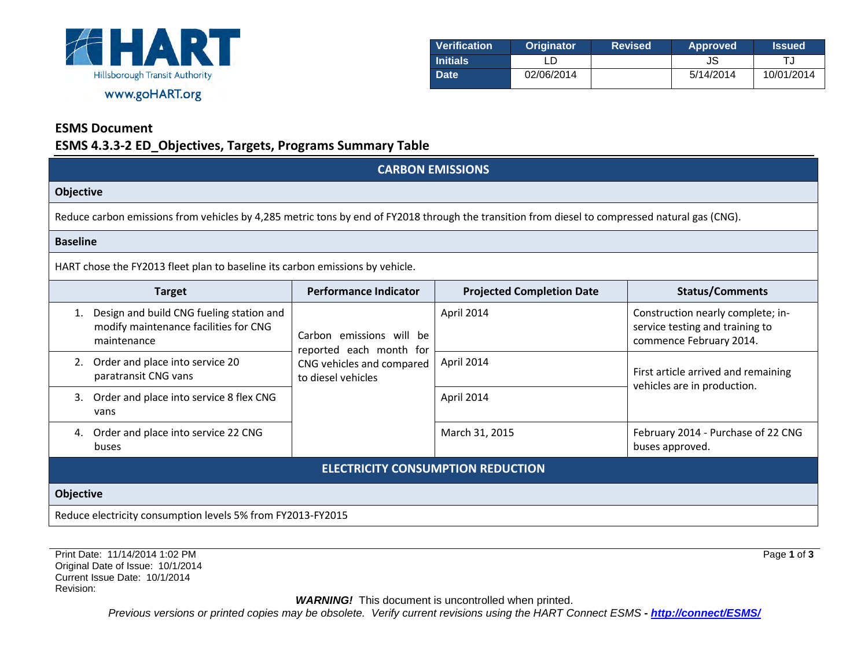

| Verification    | <b>Originator</b> | <b>Revised</b> | <b>Approved</b> | <b>Issued</b> |
|-----------------|-------------------|----------------|-----------------|---------------|
| <b>Initials</b> |                   |                | JS              |               |
| <b>Date</b>     | 02/06/2014        |                | 5/14/2014       | 10/01/2014    |

## **ESMS Document**

### **ESMS 4.3.3-2 ED\_Objectives, Targets, Programs Summary Table**

| <b>CARBON EMISSIONS</b>                                                                                                                         |                                                                                                        |                                  |                                                                                                 |  |
|-------------------------------------------------------------------------------------------------------------------------------------------------|--------------------------------------------------------------------------------------------------------|----------------------------------|-------------------------------------------------------------------------------------------------|--|
| Objective                                                                                                                                       |                                                                                                        |                                  |                                                                                                 |  |
| Reduce carbon emissions from vehicles by 4,285 metric tons by end of FY2018 through the transition from diesel to compressed natural gas (CNG). |                                                                                                        |                                  |                                                                                                 |  |
| <b>Baseline</b>                                                                                                                                 |                                                                                                        |                                  |                                                                                                 |  |
| HART chose the FY2013 fleet plan to baseline its carbon emissions by vehicle.                                                                   |                                                                                                        |                                  |                                                                                                 |  |
| <b>Target</b>                                                                                                                                   | <b>Performance Indicator</b>                                                                           | <b>Projected Completion Date</b> | <b>Status/Comments</b>                                                                          |  |
| Design and build CNG fueling station and<br>modify maintenance facilities for CNG<br>maintenance                                                | Carbon emissions will be<br>reported each month for<br>CNG vehicles and compared<br>to diesel vehicles | April 2014                       | Construction nearly complete; in-<br>service testing and training to<br>commence February 2014. |  |
| Order and place into service 20<br>paratransit CNG vans                                                                                         |                                                                                                        | April 2014                       | First article arrived and remaining<br>vehicles are in production.                              |  |
| Order and place into service 8 flex CNG<br>3.<br>vans                                                                                           |                                                                                                        | April 2014                       |                                                                                                 |  |
| Order and place into service 22 CNG<br>4.<br>buses                                                                                              |                                                                                                        | March 31, 2015                   | February 2014 - Purchase of 22 CNG<br>buses approved.                                           |  |
| <b>ELECTRICITY CONSUMPTION REDUCTION</b>                                                                                                        |                                                                                                        |                                  |                                                                                                 |  |
| <b>Objective</b>                                                                                                                                |                                                                                                        |                                  |                                                                                                 |  |
|                                                                                                                                                 |                                                                                                        |                                  |                                                                                                 |  |

Reduce electricity consumption levels 5% from FY2013-FY2015

Print Date: 11/14/2014 1:02 PM Original Date of Issue: 10/1/2014 Current Issue Date: 10/1/2014 Revision:

**WARNING!** This document is uncontrolled when printed.

*Previous versions or printed copies may be obsolete. Verify current revisions using the HART Connect ESMS - [http://connect/ESMS/](http://connect/ESMS/default.aspx)*

Page **1** of **3**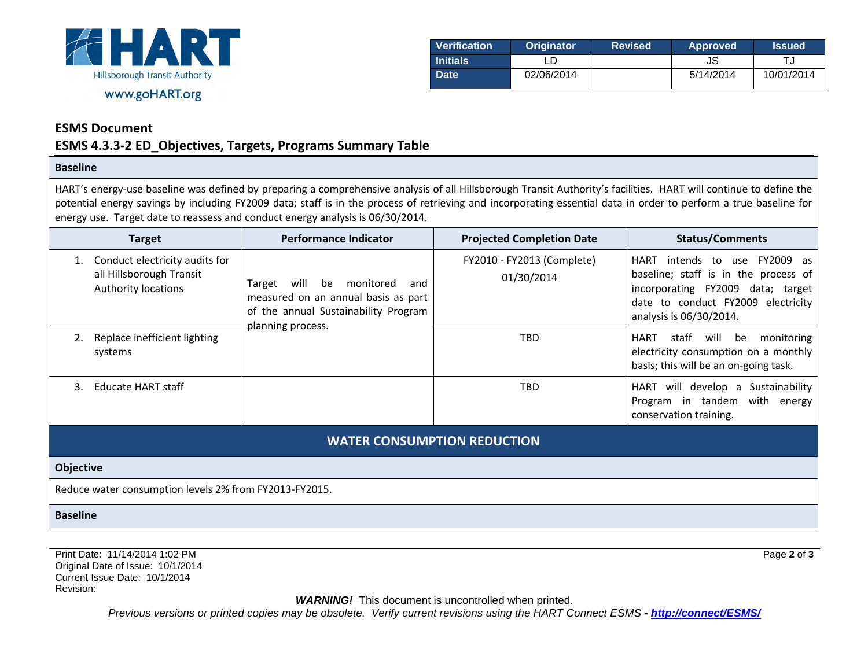

| Verification    | <b>Originator</b> | <b>Revised</b> | <b>Approved</b> | <b>Issued</b> |
|-----------------|-------------------|----------------|-----------------|---------------|
| <b>Initials</b> |                   |                | JS              |               |
| <b>Date</b>     | 02/06/2014        |                | 5/14/2014       | 10/01/2014    |

Page **2** of **3**

#### **ESMS Document**

## **ESMS 4.3.3-2 ED\_Objectives, Targets, Programs Summary Table**

#### **Baseline**

HART's energy-use baseline was defined by preparing a comprehensive analysis of all Hillsborough Transit Authority's facilities. HART will continue to define the potential energy savings by including FY2009 data; staff is in the process of retrieving and incorporating essential data in order to perform a true baseline for energy use. Target date to reassess and conduct energy analysis is 06/30/2014.

| <b>Target</b>                                                                            | <b>Performance Indicator</b>                                                                                                                 | <b>Projected Completion Date</b>         | <b>Status/Comments</b>                                                                                                                                                                   |  |
|------------------------------------------------------------------------------------------|----------------------------------------------------------------------------------------------------------------------------------------------|------------------------------------------|------------------------------------------------------------------------------------------------------------------------------------------------------------------------------------------|--|
| Conduct electricity audits for<br>all Hillsborough Transit<br><b>Authority locations</b> | monitored<br>Target<br>will<br>be<br>and<br>measured on an annual basis as part<br>of the annual Sustainability Program<br>planning process. | FY2010 - FY2013 (Complete)<br>01/30/2014 | <b>HART</b><br>FY2009 as<br>intends to use<br>baseline; staff is in the process of<br>incorporating FY2009 data; target<br>date to conduct FY2009 electricity<br>analysis is 06/30/2014. |  |
| Replace inefficient lighting<br>systems                                                  |                                                                                                                                              | <b>TBD</b>                               | monitoring<br>staff<br>will<br><b>HART</b><br>be<br>electricity consumption on a monthly<br>basis; this will be an on-going task.                                                        |  |
| Educate HART staff<br>3.                                                                 |                                                                                                                                              | <b>TBD</b>                               | Sustainability<br>will develop a<br>HART<br>Program in tandem<br>with energy<br>conservation training.                                                                                   |  |
| <b>WATER CONSUMPTION REDUCTION</b>                                                       |                                                                                                                                              |                                          |                                                                                                                                                                                          |  |
| <b>Objective</b>                                                                         |                                                                                                                                              |                                          |                                                                                                                                                                                          |  |
| Reduce water consumption levels 2% from FY2013-FY2015.                                   |                                                                                                                                              |                                          |                                                                                                                                                                                          |  |
| <b>Baseline</b>                                                                          |                                                                                                                                              |                                          |                                                                                                                                                                                          |  |

Print Date: 11/14/2014 1:02 PM Original Date of Issue: 10/1/2014 Current Issue Date: 10/1/2014 Revision:

**WARNING!** This document is uncontrolled when printed.

*Previous versions or printed copies may be obsolete. Verify current revisions using the HART Connect ESMS - [http://connect/ESMS/](http://connect/ESMS/default.aspx)*